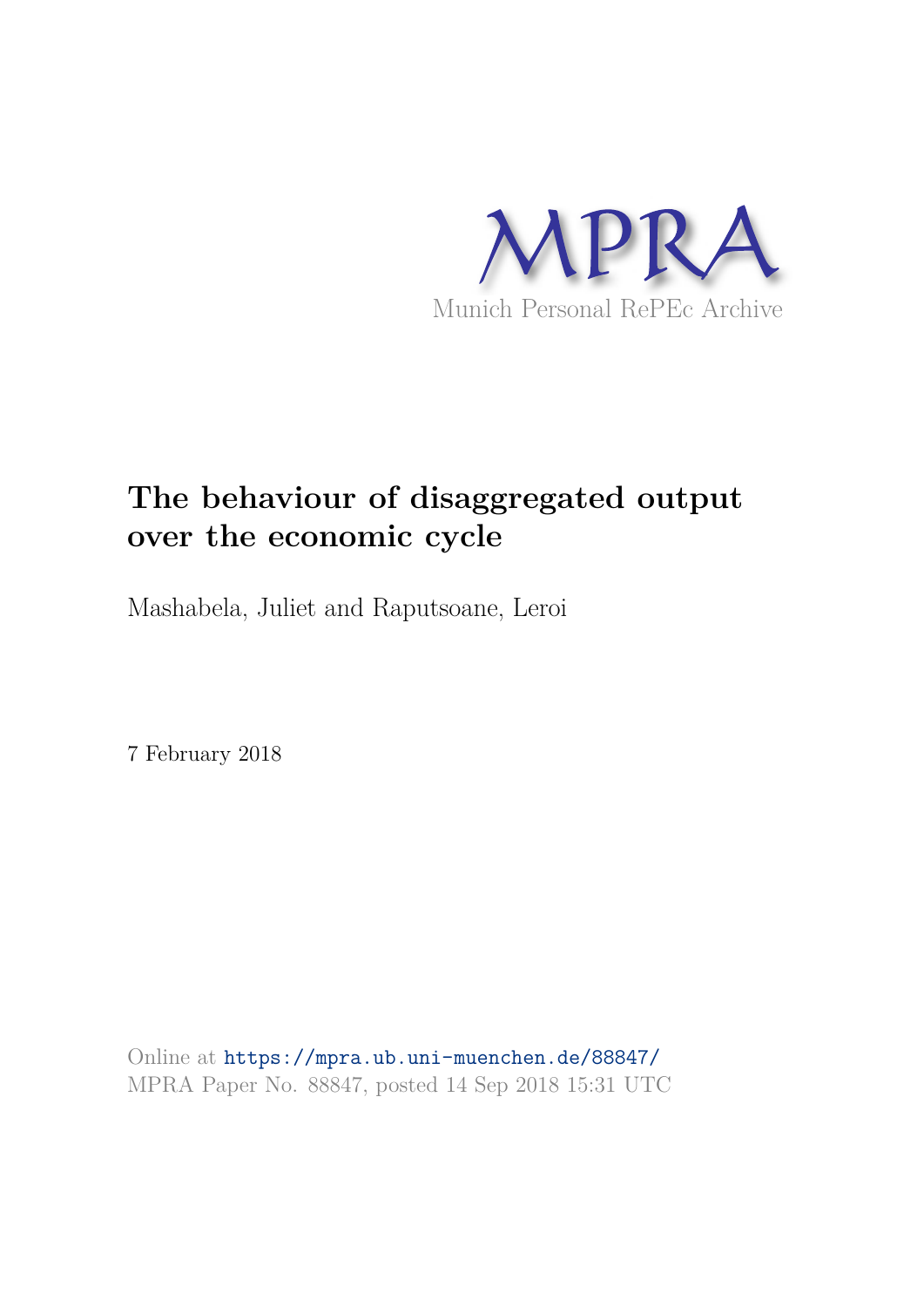

# **The behaviour of disaggregated output over the economic cycle**

Mashabela, Juliet and Raputsoane, Leroi

7 February 2018

Online at https://mpra.ub.uni-muenchen.de/88847/ MPRA Paper No. 88847, posted 14 Sep 2018 15:31 UTC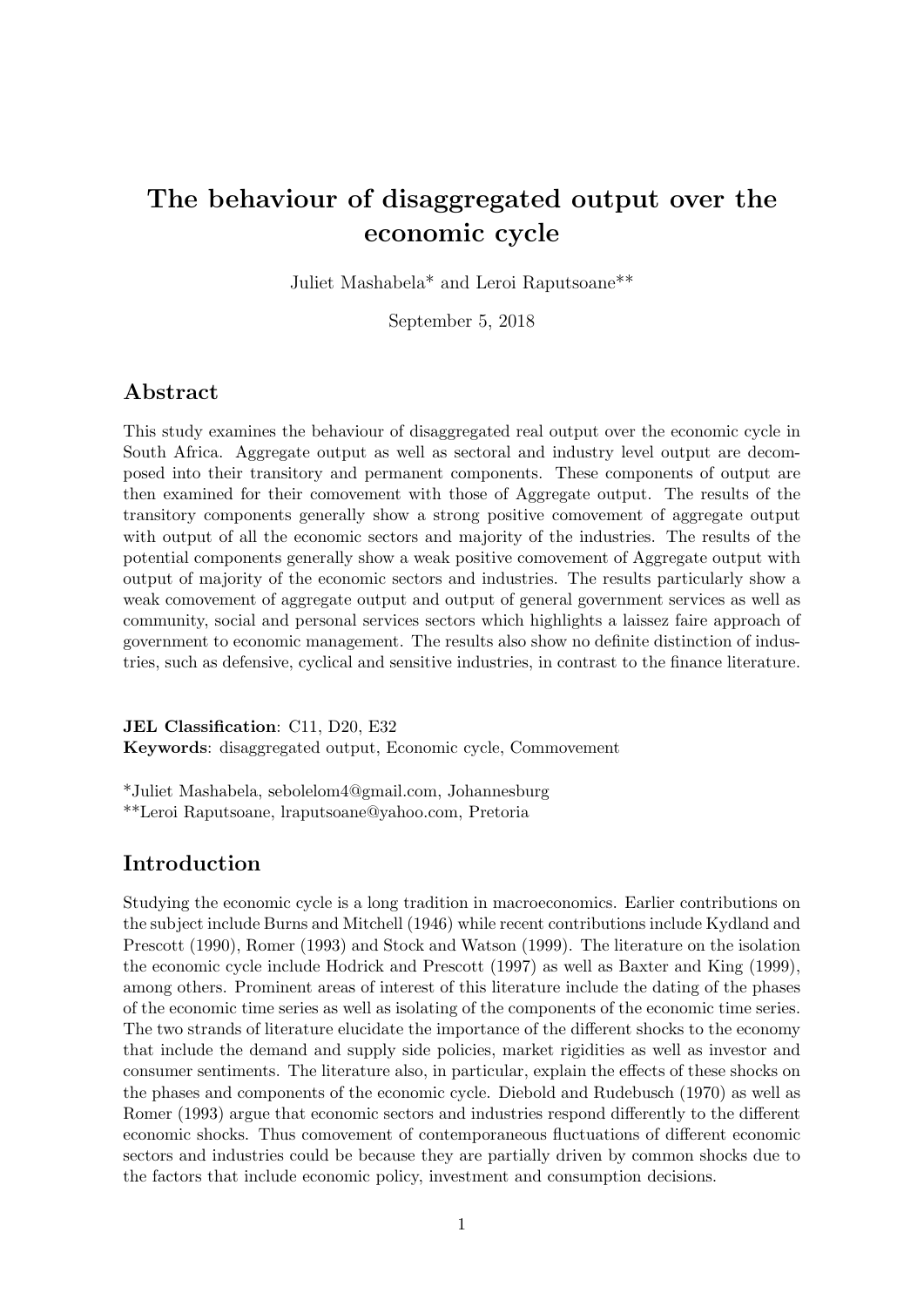# The behaviour of disaggregated output over the economic cycle

Juliet Mashabela\* and Leroi Raputsoane\*\*

September 5, 2018

#### Abstract

This study examines the behaviour of disaggregated real output over the economic cycle in South Africa. Aggregate output as well as sectoral and industry level output are decomposed into their transitory and permanent components. These components of output are then examined for their comovement with those of Aggregate output. The results of the transitory components generally show a strong positive comovement of aggregate output with output of all the economic sectors and majority of the industries. The results of the potential components generally show a weak positive comovement of Aggregate output with output of majority of the economic sectors and industries. The results particularly show a weak comovement of aggregate output and output of general government services as well as community, social and personal services sectors which highlights a laissez faire approach of government to economic management. The results also show no definite distinction of industries, such as defensive, cyclical and sensitive industries, in contrast to the finance literature.

JEL Classification: C11, D20, E32

Keywords: disaggregated output, Economic cycle, Commovement

\*Juliet Mashabela, sebolelom4@gmail.com, Johannesburg \*\*Leroi Raputsoane, lraputsoane@yahoo.com, Pretoria

### Introduction

Studying the economic cycle is a long tradition in macroeconomics. Earlier contributions on the subject include Burns and Mitchell (1946) while recent contributions include Kydland and Prescott (1990), Romer (1993) and Stock and Watson (1999). The literature on the isolation the economic cycle include Hodrick and Prescott (1997) as well as Baxter and King (1999), among others. Prominent areas of interest of this literature include the dating of the phases of the economic time series as well as isolating of the components of the economic time series. The two strands of literature elucidate the importance of the different shocks to the economy that include the demand and supply side policies, market rigidities as well as investor and consumer sentiments. The literature also, in particular, explain the effects of these shocks on the phases and components of the economic cycle. Diebold and Rudebusch (1970) as well as Romer (1993) argue that economic sectors and industries respond differently to the different economic shocks. Thus comovement of contemporaneous fluctuations of different economic sectors and industries could be because they are partially driven by common shocks due to the factors that include economic policy, investment and consumption decisions.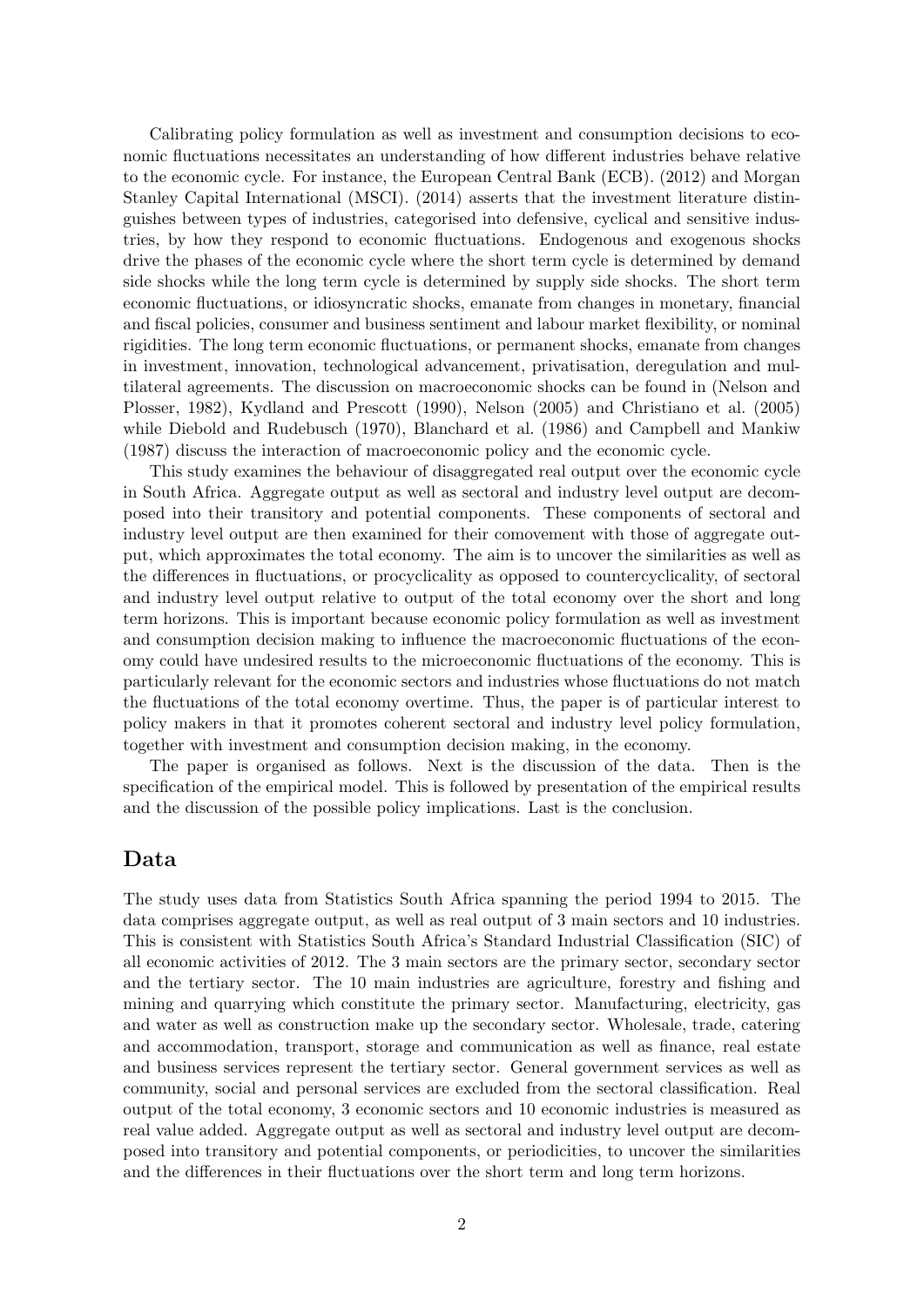Calibrating policy formulation as well as investment and consumption decisions to economic fluctuations necessitates an understanding of how different industries behave relative to the economic cycle. For instance, the European Central Bank (ECB). (2012) and Morgan Stanley Capital International (MSCI). (2014) asserts that the investment literature distinguishes between types of industries, categorised into defensive, cyclical and sensitive industries, by how they respond to economic fluctuations. Endogenous and exogenous shocks drive the phases of the economic cycle where the short term cycle is determined by demand side shocks while the long term cycle is determined by supply side shocks. The short term economic fluctuations, or idiosyncratic shocks, emanate from changes in monetary, financial and fiscal policies, consumer and business sentiment and labour market flexibility, or nominal rigidities. The long term economic fluctuations, or permanent shocks, emanate from changes in investment, innovation, technological advancement, privatisation, deregulation and multilateral agreements. The discussion on macroeconomic shocks can be found in (Nelson and Plosser, 1982), Kydland and Prescott (1990), Nelson (2005) and Christiano et al. (2005) while Diebold and Rudebusch (1970), Blanchard et al. (1986) and Campbell and Mankiw (1987) discuss the interaction of macroeconomic policy and the economic cycle.

This study examines the behaviour of disaggregated real output over the economic cycle in South Africa. Aggregate output as well as sectoral and industry level output are decomposed into their transitory and potential components. These components of sectoral and industry level output are then examined for their comovement with those of aggregate output, which approximates the total economy. The aim is to uncover the similarities as well as the differences in fluctuations, or procyclicality as opposed to countercyclicality, of sectoral and industry level output relative to output of the total economy over the short and long term horizons. This is important because economic policy formulation as well as investment and consumption decision making to influence the macroeconomic fluctuations of the economy could have undesired results to the microeconomic fluctuations of the economy. This is particularly relevant for the economic sectors and industries whose fluctuations do not match the fluctuations of the total economy overtime. Thus, the paper is of particular interest to policy makers in that it promotes coherent sectoral and industry level policy formulation, together with investment and consumption decision making, in the economy.

The paper is organised as follows. Next is the discussion of the data. Then is the specification of the empirical model. This is followed by presentation of the empirical results and the discussion of the possible policy implications. Last is the conclusion.

#### Data

The study uses data from Statistics South Africa spanning the period 1994 to 2015. The data comprises aggregate output, as well as real output of 3 main sectors and 10 industries. This is consistent with Statistics South Africa's Standard Industrial Classification (SIC) of all economic activities of 2012. The 3 main sectors are the primary sector, secondary sector and the tertiary sector. The 10 main industries are agriculture, forestry and fishing and mining and quarrying which constitute the primary sector. Manufacturing, electricity, gas and water as well as construction make up the secondary sector. Wholesale, trade, catering and accommodation, transport, storage and communication as well as finance, real estate and business services represent the tertiary sector. General government services as well as community, social and personal services are excluded from the sectoral classification. Real output of the total economy, 3 economic sectors and 10 economic industries is measured as real value added. Aggregate output as well as sectoral and industry level output are decomposed into transitory and potential components, or periodicities, to uncover the similarities and the differences in their fluctuations over the short term and long term horizons.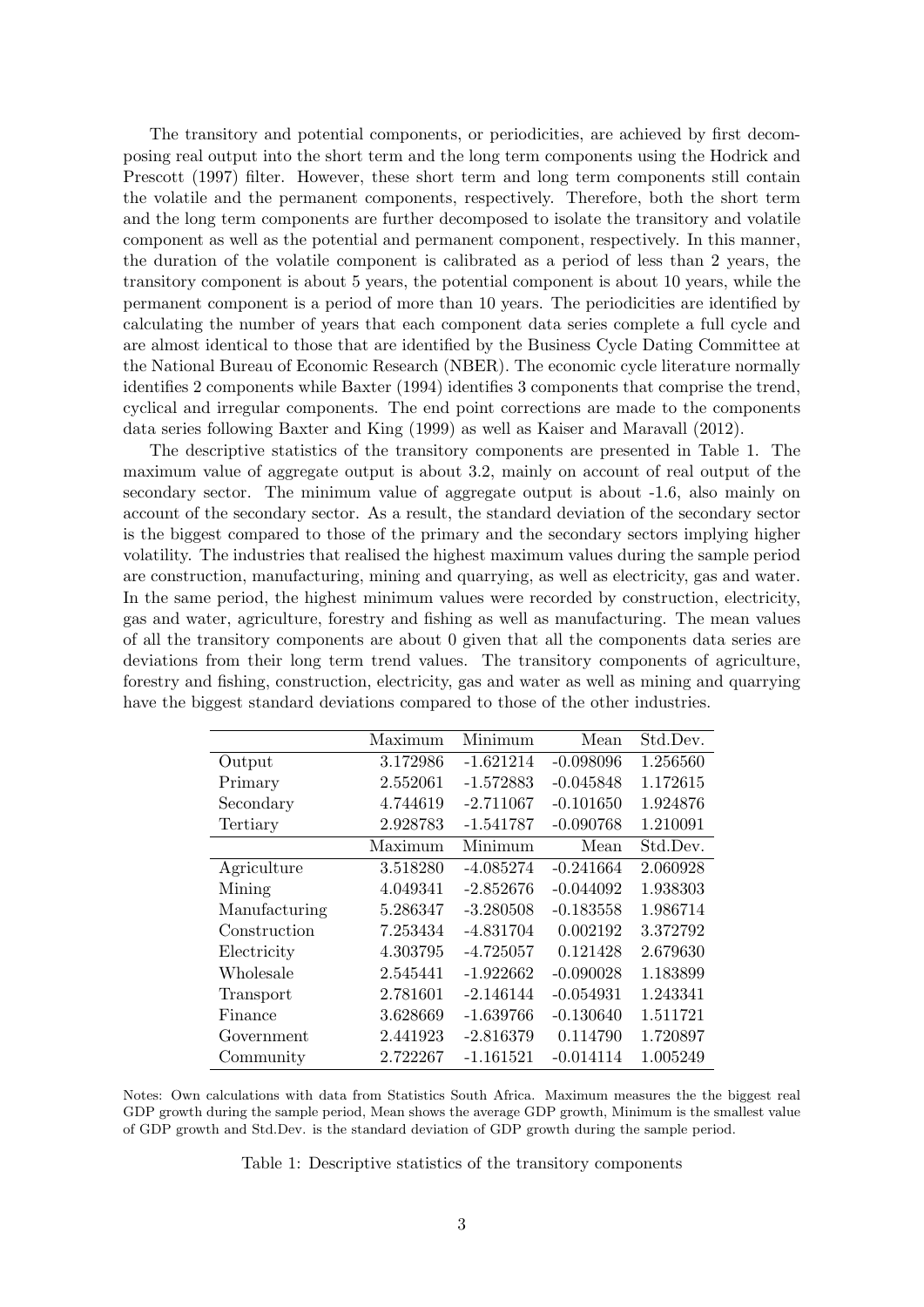The transitory and potential components, or periodicities, are achieved by first decomposing real output into the short term and the long term components using the Hodrick and Prescott (1997) filter. However, these short term and long term components still contain the volatile and the permanent components, respectively. Therefore, both the short term and the long term components are further decomposed to isolate the transitory and volatile component as well as the potential and permanent component, respectively. In this manner, the duration of the volatile component is calibrated as a period of less than 2 years, the transitory component is about 5 years, the potential component is about 10 years, while the permanent component is a period of more than 10 years. The periodicities are identified by calculating the number of years that each component data series complete a full cycle and are almost identical to those that are identified by the Business Cycle Dating Committee at the National Bureau of Economic Research (NBER). The economic cycle literature normally identifies 2 components while Baxter (1994) identifies 3 components that comprise the trend, cyclical and irregular components. The end point corrections are made to the components data series following Baxter and King (1999) as well as Kaiser and Maravall (2012).

The descriptive statistics of the transitory components are presented in Table 1. The maximum value of aggregate output is about 3.2, mainly on account of real output of the secondary sector. The minimum value of aggregate output is about -1.6, also mainly on account of the secondary sector. As a result, the standard deviation of the secondary sector is the biggest compared to those of the primary and the secondary sectors implying higher volatility. The industries that realised the highest maximum values during the sample period are construction, manufacturing, mining and quarrying, as well as electricity, gas and water. In the same period, the highest minimum values were recorded by construction, electricity, gas and water, agriculture, forestry and fishing as well as manufacturing. The mean values of all the transitory components are about 0 given that all the components data series are deviations from their long term trend values. The transitory components of agriculture, forestry and fishing, construction, electricity, gas and water as well as mining and quarrying have the biggest standard deviations compared to those of the other industries.

|               | Maximum  | Minimum     | Mean        | Std.Dev. |
|---------------|----------|-------------|-------------|----------|
| Output        | 3.172986 | $-1.621214$ | $-0.098096$ | 1.256560 |
| Primary       | 2.552061 | $-1.572883$ | $-0.045848$ | 1.172615 |
| Secondary     | 4.744619 | $-2.711067$ | $-0.101650$ | 1.924876 |
| Tertiary      | 2.928783 | $-1.541787$ | $-0.090768$ | 1.210091 |
|               | Maximum  | Minimum     | Mean        | Std.Dev. |
| Agriculture   | 3.518280 | $-4.085274$ | $-0.241664$ | 2.060928 |
| Mining        | 4.049341 | $-2.852676$ | $-0.044092$ | 1.938303 |
| Manufacturing | 5.286347 | $-3.280508$ | $-0.183558$ | 1.986714 |
| Construction  | 7.253434 | $-4.831704$ | 0.002192    | 3.372792 |
| Electricity   | 4.303795 | $-4.725057$ | 0.121428    | 2.679630 |
| Wholesale     | 2.545441 | $-1.922662$ | $-0.090028$ | 1.183899 |
| Transport     | 2.781601 | $-2.146144$ | $-0.054931$ | 1.243341 |
| Finance       | 3.628669 | $-1.639766$ | $-0.130640$ | 1.511721 |
| Government    | 2.441923 | $-2.816379$ | 0.114790    | 1.720897 |
| Community     | 2.722267 | $-1.161521$ | $-0.014114$ | 1.005249 |

Notes: Own calculations with data from Statistics South Africa. Maximum measures the the biggest real GDP growth during the sample period, Mean shows the average GDP growth, Minimum is the smallest value of GDP growth and Std.Dev. is the standard deviation of GDP growth during the sample period.

Table 1: Descriptive statistics of the transitory components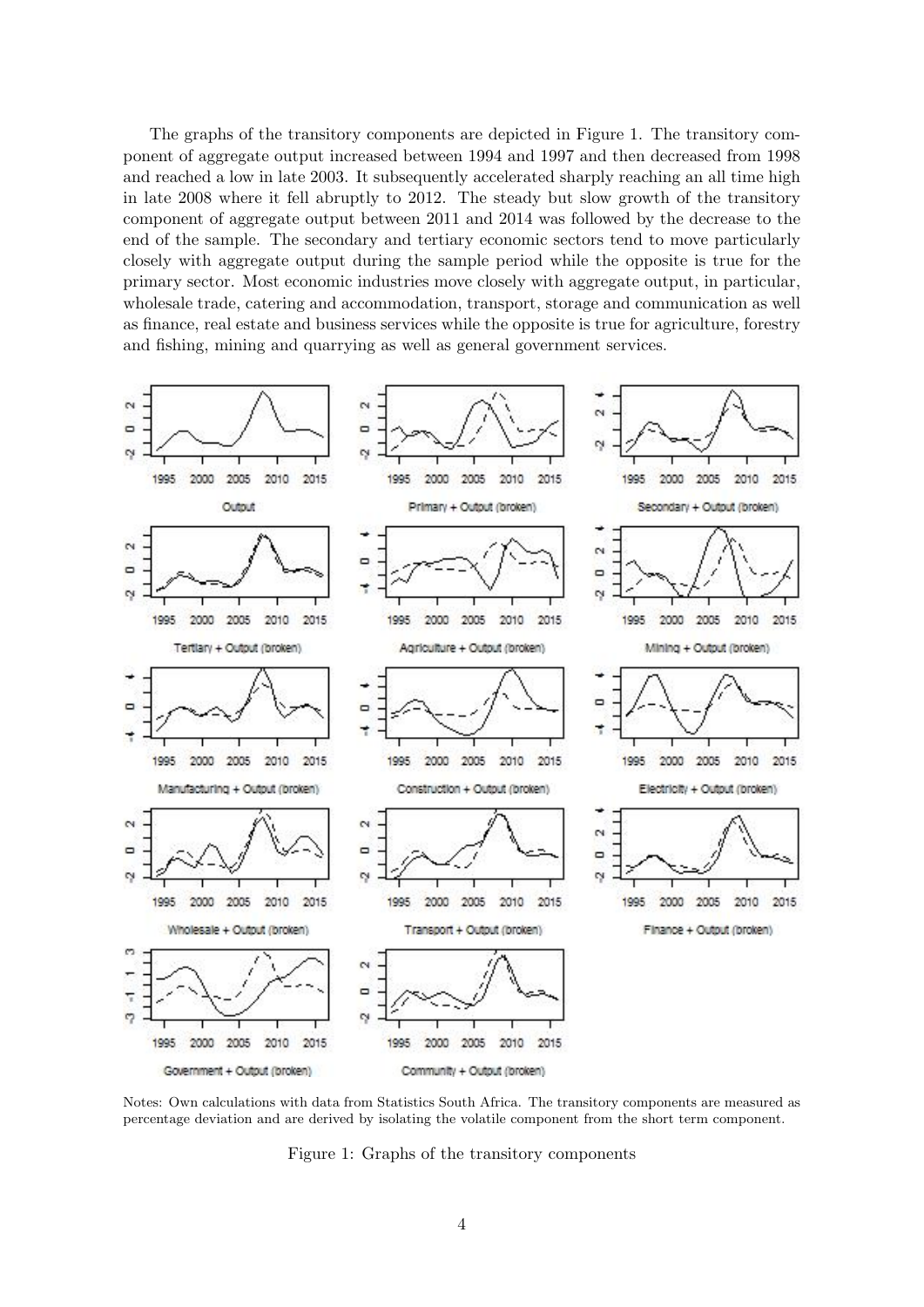The graphs of the transitory components are depicted in Figure 1. The transitory component of aggregate output increased between 1994 and 1997 and then decreased from 1998 and reached a low in late 2003. It subsequently accelerated sharply reaching an all time high in late 2008 where it fell abruptly to 2012. The steady but slow growth of the transitory component of aggregate output between 2011 and 2014 was followed by the decrease to the end of the sample. The secondary and tertiary economic sectors tend to move particularly closely with aggregate output during the sample period while the opposite is true for the primary sector. Most economic industries move closely with aggregate output, in particular, wholesale trade, catering and accommodation, transport, storage and communication as well as finance, real estate and business services while the opposite is true for agriculture, forestry and fishing, mining and quarrying as well as general government services.



Notes: Own calculations with data from Statistics South Africa. The transitory components are measured as percentage deviation and are derived by isolating the volatile component from the short term component.

Figure 1: Graphs of the transitory components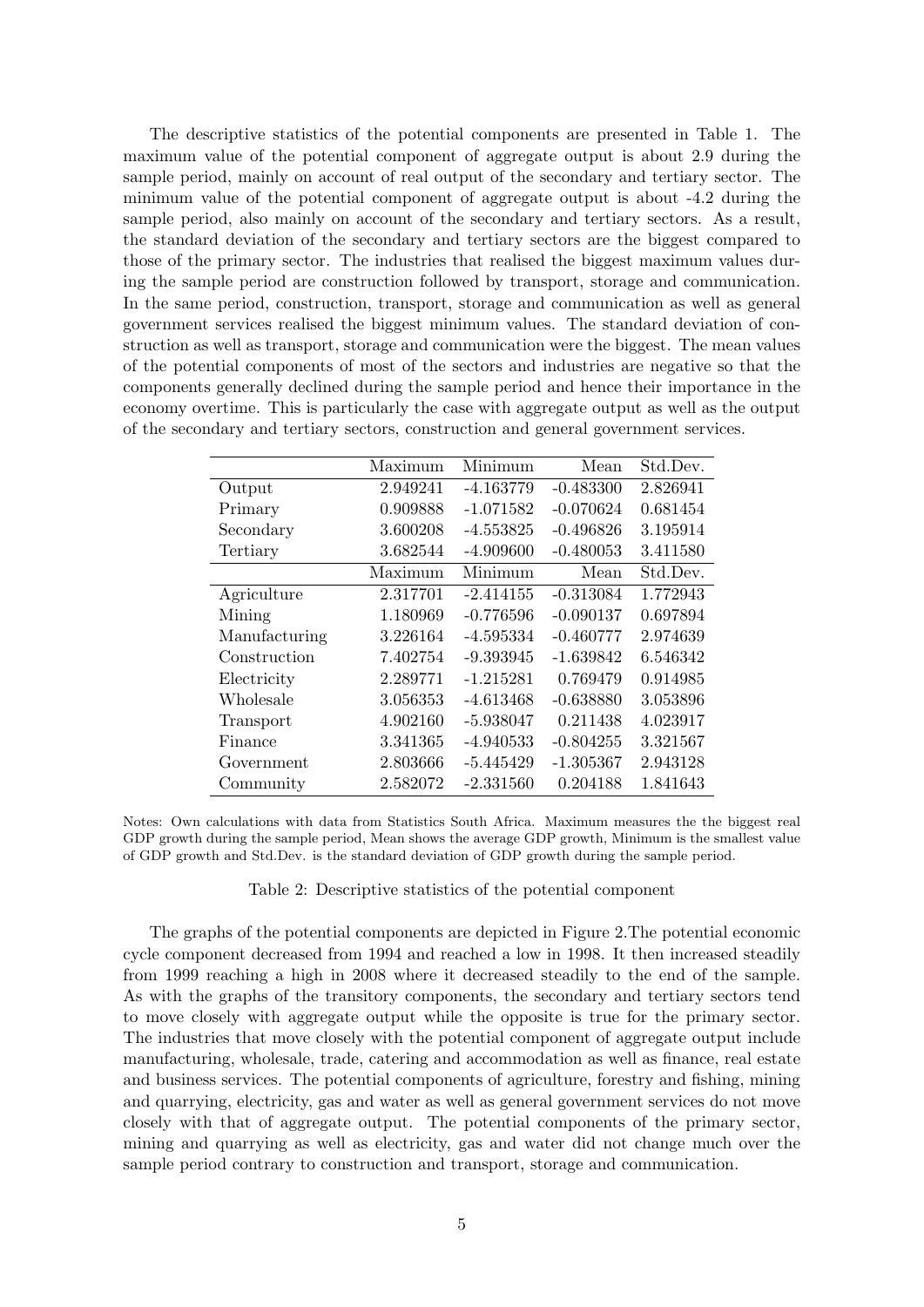The descriptive statistics of the potential components are presented in Table 1. The maximum value of the potential component of aggregate output is about 2.9 during the sample period, mainly on account of real output of the secondary and tertiary sector. The minimum value of the potential component of aggregate output is about -4.2 during the sample period, also mainly on account of the secondary and tertiary sectors. As a result, the standard deviation of the secondary and tertiary sectors are the biggest compared to those of the primary sector. The industries that realised the biggest maximum values during the sample period are construction followed by transport, storage and communication. In the same period, construction, transport, storage and communication as well as general government services realised the biggest minimum values. The standard deviation of construction as well as transport, storage and communication were the biggest. The mean values of the potential components of most of the sectors and industries are negative so that the components generally declined during the sample period and hence their importance in the economy overtime. This is particularly the case with aggregate output as well as the output of the secondary and tertiary sectors, construction and general government services.

|               | Maximum  | Minimum     | Mean        | Std.Dev. |
|---------------|----------|-------------|-------------|----------|
| Output        | 2.949241 | $-4.163779$ | $-0.483300$ | 2.826941 |
| Primary       | 0.909888 | $-1.071582$ | $-0.070624$ | 0.681454 |
| Secondary     | 3.600208 | $-4.553825$ | $-0.496826$ | 3.195914 |
| Tertiary      | 3.682544 | $-4.909600$ | $-0.480053$ | 3.411580 |
|               | Maximum  | Minimum     | Mean        | Std.Dev. |
| Agriculture   | 2.317701 | $-2.414155$ | $-0.313084$ | 1.772943 |
| Mining        | 1.180969 | $-0.776596$ | $-0.090137$ | 0.697894 |
| Manufacturing | 3.226164 | $-4.595334$ | $-0.460777$ | 2.974639 |
| Construction  | 7.402754 | $-9.393945$ | $-1.639842$ | 6.546342 |
| Electricity   | 2.289771 | $-1.215281$ | 0.769479    | 0.914985 |
| Wholesale     | 3.056353 | $-4.613468$ | $-0.638880$ | 3.053896 |
| Transport     | 4.902160 | $-5.938047$ | 0.211438    | 4.023917 |
| Finance       | 3.341365 | $-4.940533$ | $-0.804255$ | 3.321567 |
| Government    | 2.803666 | $-5.445429$ | $-1.305367$ | 2.943128 |
| Community     | 2.582072 | $-2.331560$ | 0.204188    | 1.841643 |

Notes: Own calculations with data from Statistics South Africa. Maximum measures the the biggest real GDP growth during the sample period, Mean shows the average GDP growth, Minimum is the smallest value of GDP growth and Std.Dev. is the standard deviation of GDP growth during the sample period.

Table 2: Descriptive statistics of the potential component

The graphs of the potential components are depicted in Figure 2.The potential economic cycle component decreased from 1994 and reached a low in 1998. It then increased steadily from 1999 reaching a high in 2008 where it decreased steadily to the end of the sample. As with the graphs of the transitory components, the secondary and tertiary sectors tend to move closely with aggregate output while the opposite is true for the primary sector. The industries that move closely with the potential component of aggregate output include manufacturing, wholesale, trade, catering and accommodation as well as finance, real estate and business services. The potential components of agriculture, forestry and fishing, mining and quarrying, electricity, gas and water as well as general government services do not move closely with that of aggregate output. The potential components of the primary sector, mining and quarrying as well as electricity, gas and water did not change much over the sample period contrary to construction and transport, storage and communication.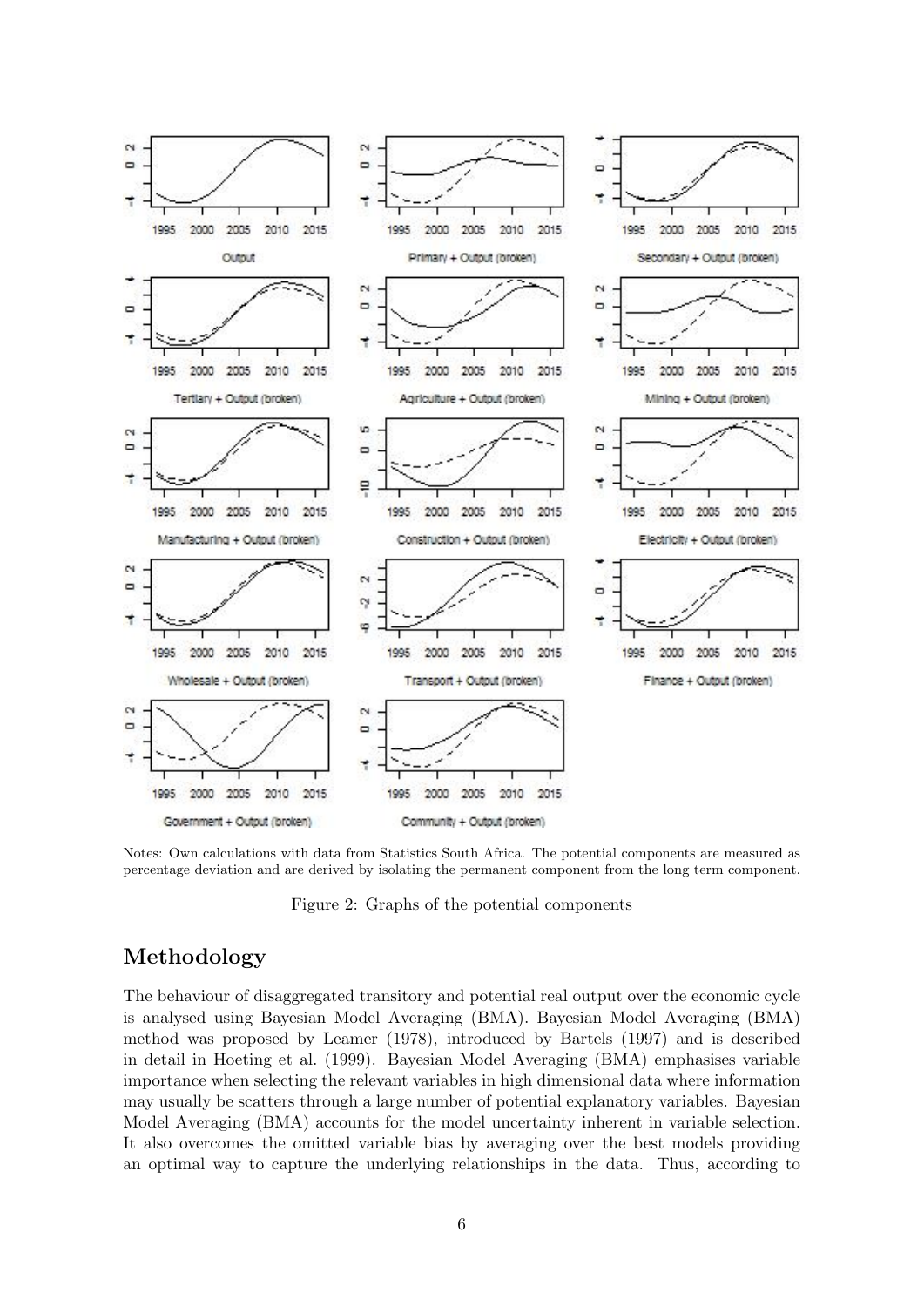

Notes: Own calculations with data from Statistics South Africa. The potential components are measured as percentage deviation and are derived by isolating the permanent component from the long term component.

Figure 2: Graphs of the potential components

## Methodology

The behaviour of disaggregated transitory and potential real output over the economic cycle is analysed using Bayesian Model Averaging (BMA). Bayesian Model Averaging (BMA) method was proposed by Leamer (1978), introduced by Bartels (1997) and is described in detail in Hoeting et al. (1999). Bayesian Model Averaging (BMA) emphasises variable importance when selecting the relevant variables in high dimensional data where information may usually be scatters through a large number of potential explanatory variables. Bayesian Model Averaging (BMA) accounts for the model uncertainty inherent in variable selection. It also overcomes the omitted variable bias by averaging over the best models providing an optimal way to capture the underlying relationships in the data. Thus, according to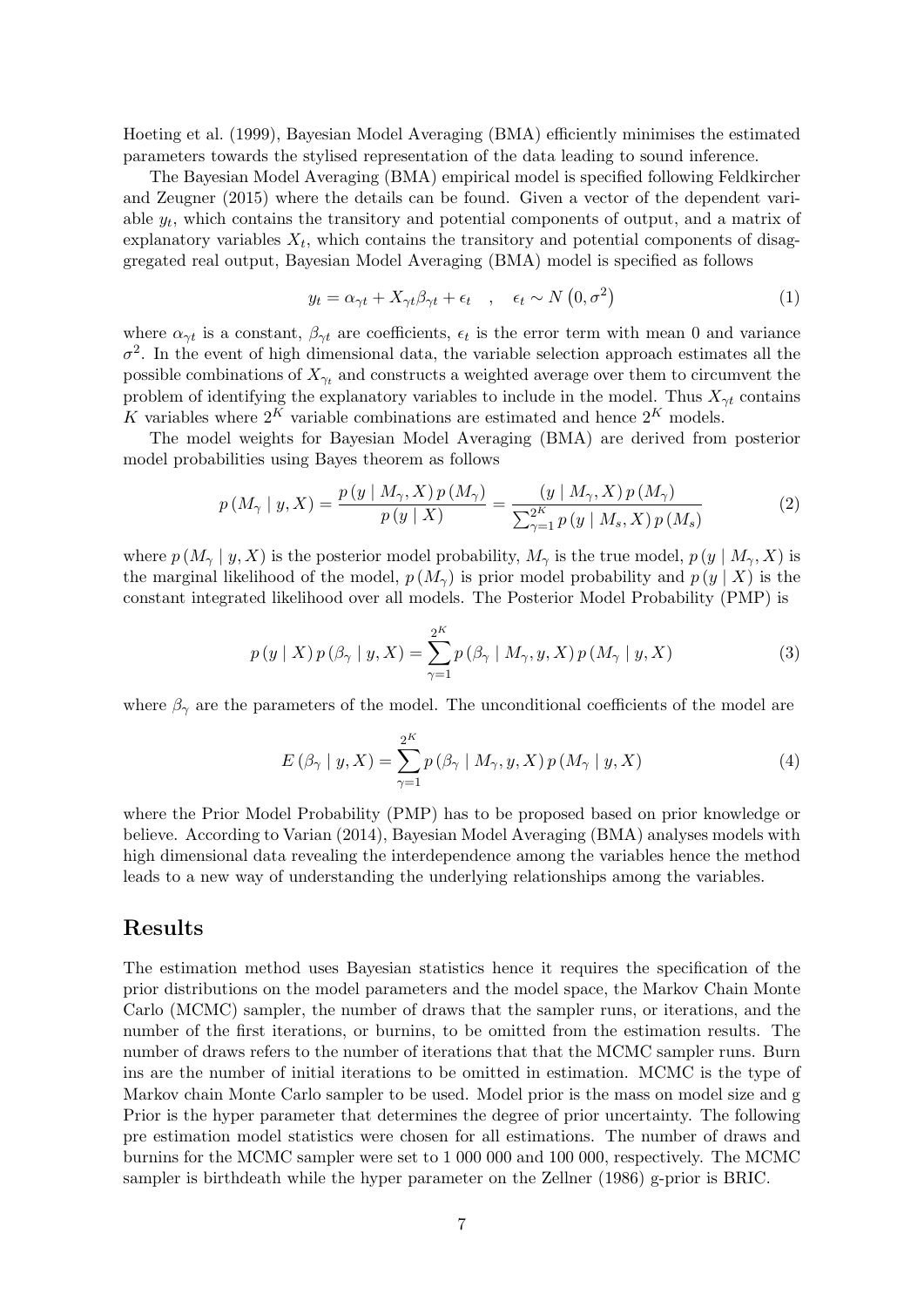Hoeting et al. (1999), Bayesian Model Averaging (BMA) efficiently minimises the estimated parameters towards the stylised representation of the data leading to sound inference.

The Bayesian Model Averaging (BMA) empirical model is specified following Feldkircher and Zeugner (2015) where the details can be found. Given a vector of the dependent variable  $y_t$ , which contains the transitory and potential components of output, and a matrix of  $\exp$ lanatory variables  $X_t$ , which contains the transitory and potential components of disaggregated real output, Bayesian Model Averaging (BMA) model is specified as follows

$$
y_t = \alpha_{\gamma t} + X_{\gamma t} \beta_{\gamma t} + \epsilon_t \quad , \quad \epsilon_t \sim N(0, \sigma^2)
$$
 (1)

where  $\alpha_{\gamma t}$  is a constant,  $\beta_{\gamma t}$  are coefficients,  $\epsilon_t$  is the error term with mean 0 and variance  $\sigma^2$ . In the event of high dimensional data, the variable selection approach estimates all the possible combinations of  $X_{\gamma_t}$  and constructs a weighted average over them to circumvent the problem of identifying the explanatory variables to include in the model. Thus  $X_{\gamma t}$  contains K variables where  $2^K$  variable combinations are estimated and hence  $2^K$  models.

The model weights for Bayesian Model Averaging (BMA) are derived from posterior model probabilities using Bayes theorem as follows

$$
p(M_{\gamma} \mid y, X) = \frac{p(y \mid M_{\gamma}, X) p(M_{\gamma})}{p(y \mid X)} = \frac{(y \mid M_{\gamma}, X) p(M_{\gamma})}{\sum_{\gamma=1}^{2^{K}} p(y \mid M_{s}, X) p(M_{s})}
$$
(2)

where  $p(M_{\gamma} | y, X)$  is the posterior model probability,  $M_{\gamma}$  is the true model,  $p(y | M_{\gamma}, X)$  is the marginal likelihood of the model,  $p(M_{\gamma})$  is prior model probability and  $p(y | X)$  is the constant integrated likelihood over all models. The Posterior Model Probability (PMP) is

$$
p(y | X) p(\beta_{\gamma} | y, X) = \sum_{\gamma=1}^{2^K} p(\beta_{\gamma} | M_{\gamma}, y, X) p(M_{\gamma} | y, X)
$$
 (3)

where  $\beta_{\gamma}$  are the parameters of the model. The unconditional coefficients of the model are

$$
E(\beta_{\gamma} | y, X) = \sum_{\gamma=1}^{2^K} p(\beta_{\gamma} | M_{\gamma}, y, X) p(M_{\gamma} | y, X)
$$
\n(4)

where the Prior Model Probability (PMP) has to be proposed based on prior knowledge or believe. According to Varian (2014), Bayesian Model Averaging (BMA) analyses models with high dimensional data revealing the interdependence among the variables hence the method leads to a new way of understanding the underlying relationships among the variables.

#### Results

The estimation method uses Bayesian statistics hence it requires the specification of the prior distributions on the model parameters and the model space, the Markov Chain Monte Carlo (MCMC) sampler, the number of draws that the sampler runs, or iterations, and the number of the first iterations, or burnins, to be omitted from the estimation results. The number of draws refers to the number of iterations that that the MCMC sampler runs. Burn ins are the number of initial iterations to be omitted in estimation. MCMC is the type of Markov chain Monte Carlo sampler to be used. Model prior is the mass on model size and g Prior is the hyper parameter that determines the degree of prior uncertainty. The following pre estimation model statistics were chosen for all estimations. The number of draws and burnins for the MCMC sampler were set to 1 000 000 and 100 000, respectively. The MCMC sampler is birthdeath while the hyper parameter on the Zellner (1986) g-prior is BRIC.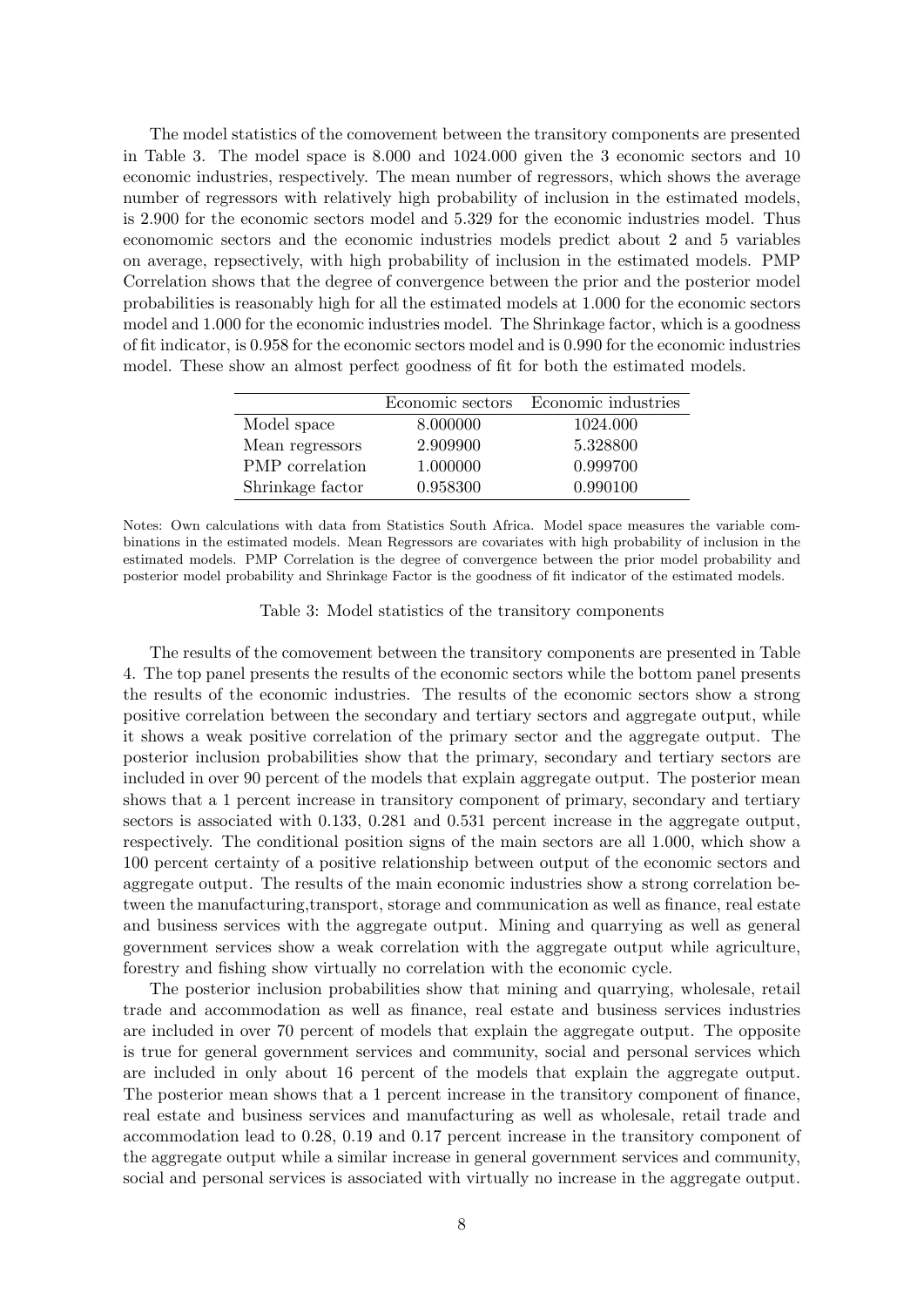The model statistics of the comovement between the transitory components are presented in Table 3. The model space is 8.000 and 1024.000 given the 3 economic sectors and 10 economic industries, respectively. The mean number of regressors, which shows the average number of regressors with relatively high probability of inclusion in the estimated models, is 2.900 for the economic sectors model and 5.329 for the economic industries model. Thus economomic sectors and the economic industries models predict about 2 and 5 variables on average, repsectively, with high probability of inclusion in the estimated models. PMP Correlation shows that the degree of convergence between the prior and the posterior model probabilities is reasonably high for all the estimated models at 1.000 for the economic sectors model and 1.000 for the economic industries model. The Shrinkage factor, which is a goodness of fit indicator, is 0.958 for the economic sectors model and is 0.990 for the economic industries model. These show an almost perfect goodness of fit for both the estimated models.

|                        |          | Economic sectors Economic industries |
|------------------------|----------|--------------------------------------|
| Model space            | 8.000000 | 1024.000                             |
| Mean regressors        | 2.909900 | 5.328800                             |
| <b>PMP</b> correlation | 1.000000 | 0.999700                             |
| Shrinkage factor       | 0.958300 | 0.990100                             |

Notes: Own calculations with data from Statistics South Africa. Model space measures the variable combinations in the estimated models. Mean Regressors are covariates with high probability of inclusion in the estimated models. PMP Correlation is the degree of convergence between the prior model probability and posterior model probability and Shrinkage Factor is the goodness of fit indicator of the estimated models.

Table 3: Model statistics of the transitory components

The results of the comovement between the transitory components are presented in Table 4. The top panel presents the results of the economic sectors while the bottom panel presents the results of the economic industries. The results of the economic sectors show a strong positive correlation between the secondary and tertiary sectors and aggregate output, while it shows a weak positive correlation of the primary sector and the aggregate output. The posterior inclusion probabilities show that the primary, secondary and tertiary sectors are included in over 90 percent of the models that explain aggregate output. The posterior mean shows that a 1 percent increase in transitory component of primary, secondary and tertiary sectors is associated with 0.133, 0.281 and 0.531 percent increase in the aggregate output, respectively. The conditional position signs of the main sectors are all 1.000, which show a 100 percent certainty of a positive relationship between output of the economic sectors and aggregate output. The results of the main economic industries show a strong correlation between the manufacturing,transport, storage and communication as well as finance, real estate and business services with the aggregate output. Mining and quarrying as well as general government services show a weak correlation with the aggregate output while agriculture, forestry and fishing show virtually no correlation with the economic cycle.

The posterior inclusion probabilities show that mining and quarrying, wholesale, retail trade and accommodation as well as finance, real estate and business services industries are included in over 70 percent of models that explain the aggregate output. The opposite is true for general government services and community, social and personal services which are included in only about 16 percent of the models that explain the aggregate output. The posterior mean shows that a 1 percent increase in the transitory component of finance, real estate and business services and manufacturing as well as wholesale, retail trade and accommodation lead to 0.28, 0.19 and 0.17 percent increase in the transitory component of the aggregate output while a similar increase in general government services and community, social and personal services is associated with virtually no increase in the aggregate output.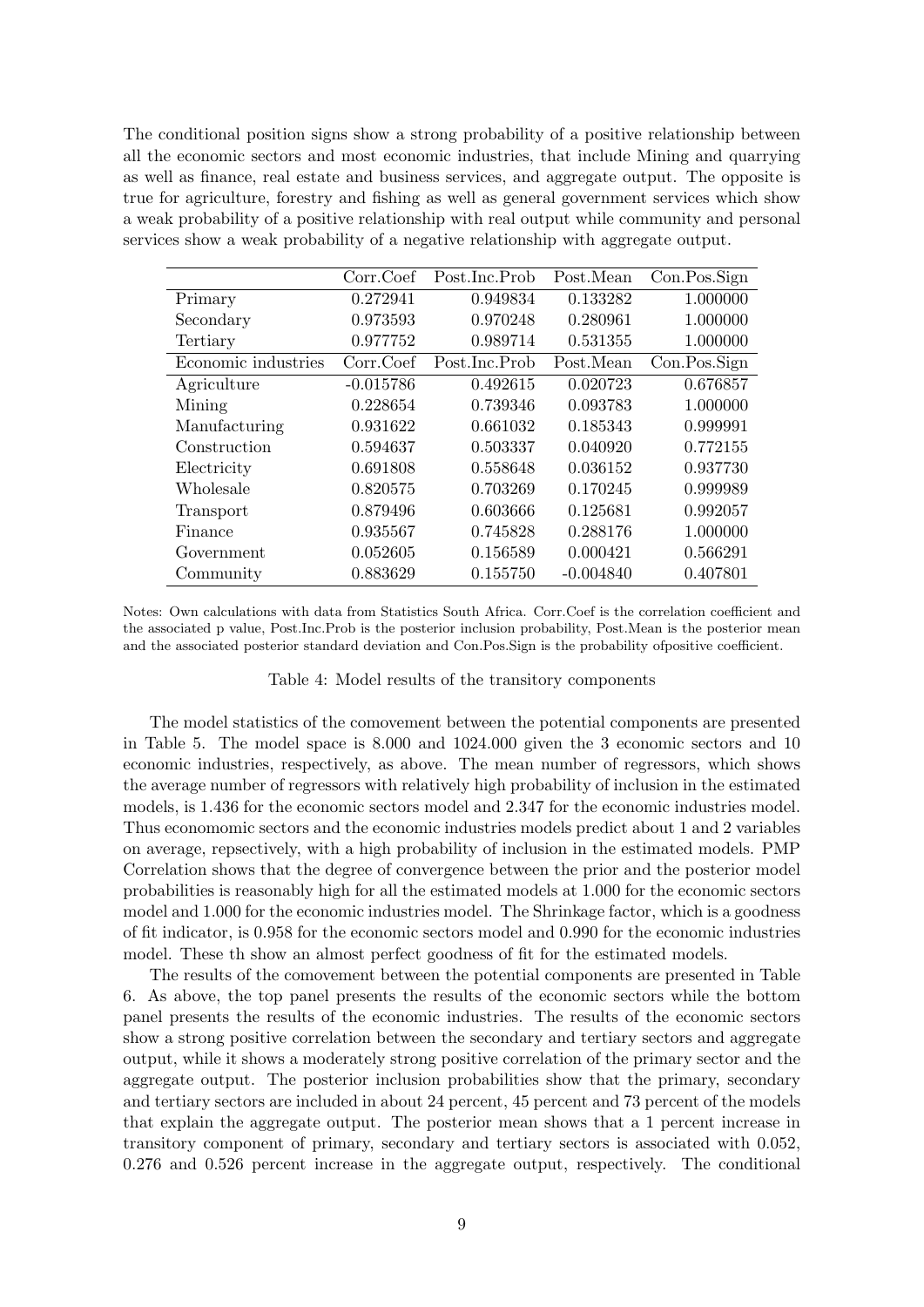The conditional position signs show a strong probability of a positive relationship between all the economic sectors and most economic industries, that include Mining and quarrying as well as finance, real estate and business services, and aggregate output. The opposite is true for agriculture, forestry and fishing as well as general government services which show a weak probability of a positive relationship with real output while community and personal services show a weak probability of a negative relationship with aggregate output.

|                     | Corr.Coef   | Post.Inc.Prob | Post.Mean   | Con.Pos.Sign |
|---------------------|-------------|---------------|-------------|--------------|
| Primary             | 0.272941    | 0.949834      | 0.133282    | 1.000000     |
| Secondary           | 0.973593    | 0.970248      | 0.280961    | 1.000000     |
| Tertiary            | 0.977752    | 0.989714      | 0.531355    | 1.000000     |
| Economic industries | Corr.Coef   | Post.Inc.Prob | Post.Mean   | Con.Pos.Sign |
| Agriculture         | $-0.015786$ | 0.492615      | 0.020723    | 0.676857     |
| Mining              | 0.228654    | 0.739346      | 0.093783    | 1.000000     |
| Manufacturing       | 0.931622    | 0.661032      | 0.185343    | 0.999991     |
| Construction        | 0.594637    | 0.503337      | 0.040920    | 0.772155     |
| Electricity         | 0.691808    | 0.558648      | 0.036152    | 0.937730     |
| Wholesale           | 0.820575    | 0.703269      | 0.170245    | 0.999989     |
| Transport           | 0.879496    | 0.603666      | 0.125681    | 0.992057     |
| Finance             | 0.935567    | 0.745828      | 0.288176    | 1.000000     |
| Government          | 0.052605    | 0.156589      | 0.000421    | 0.566291     |
| Community           | 0.883629    | 0.155750      | $-0.004840$ | 0.407801     |

Notes: Own calculations with data from Statistics South Africa. Corr.Coef is the correlation coefficient and the associated p value, Post.Inc.Prob is the posterior inclusion probability, Post.Mean is the posterior mean and the associated posterior standard deviation and Con.Pos.Sign is the probability ofpositive coefficient.

#### Table 4: Model results of the transitory components

The model statistics of the comovement between the potential components are presented in Table 5. The model space is 8.000 and 1024.000 given the 3 economic sectors and 10 economic industries, respectively, as above. The mean number of regressors, which shows the average number of regressors with relatively high probability of inclusion in the estimated models, is 1.436 for the economic sectors model and 2.347 for the economic industries model. Thus economomic sectors and the economic industries models predict about 1 and 2 variables on average, repsectively, with a high probability of inclusion in the estimated models. PMP Correlation shows that the degree of convergence between the prior and the posterior model probabilities is reasonably high for all the estimated models at 1.000 for the economic sectors model and 1.000 for the economic industries model. The Shrinkage factor, which is a goodness of fit indicator, is 0.958 for the economic sectors model and 0.990 for the economic industries model. These th show an almost perfect goodness of fit for the estimated models.

The results of the comovement between the potential components are presented in Table 6. As above, the top panel presents the results of the economic sectors while the bottom panel presents the results of the economic industries. The results of the economic sectors show a strong positive correlation between the secondary and tertiary sectors and aggregate output, while it shows a moderately strong positive correlation of the primary sector and the aggregate output. The posterior inclusion probabilities show that the primary, secondary and tertiary sectors are included in about 24 percent, 45 percent and 73 percent of the models that explain the aggregate output. The posterior mean shows that a 1 percent increase in transitory component of primary, secondary and tertiary sectors is associated with 0.052, 0.276 and 0.526 percent increase in the aggregate output, respectively. The conditional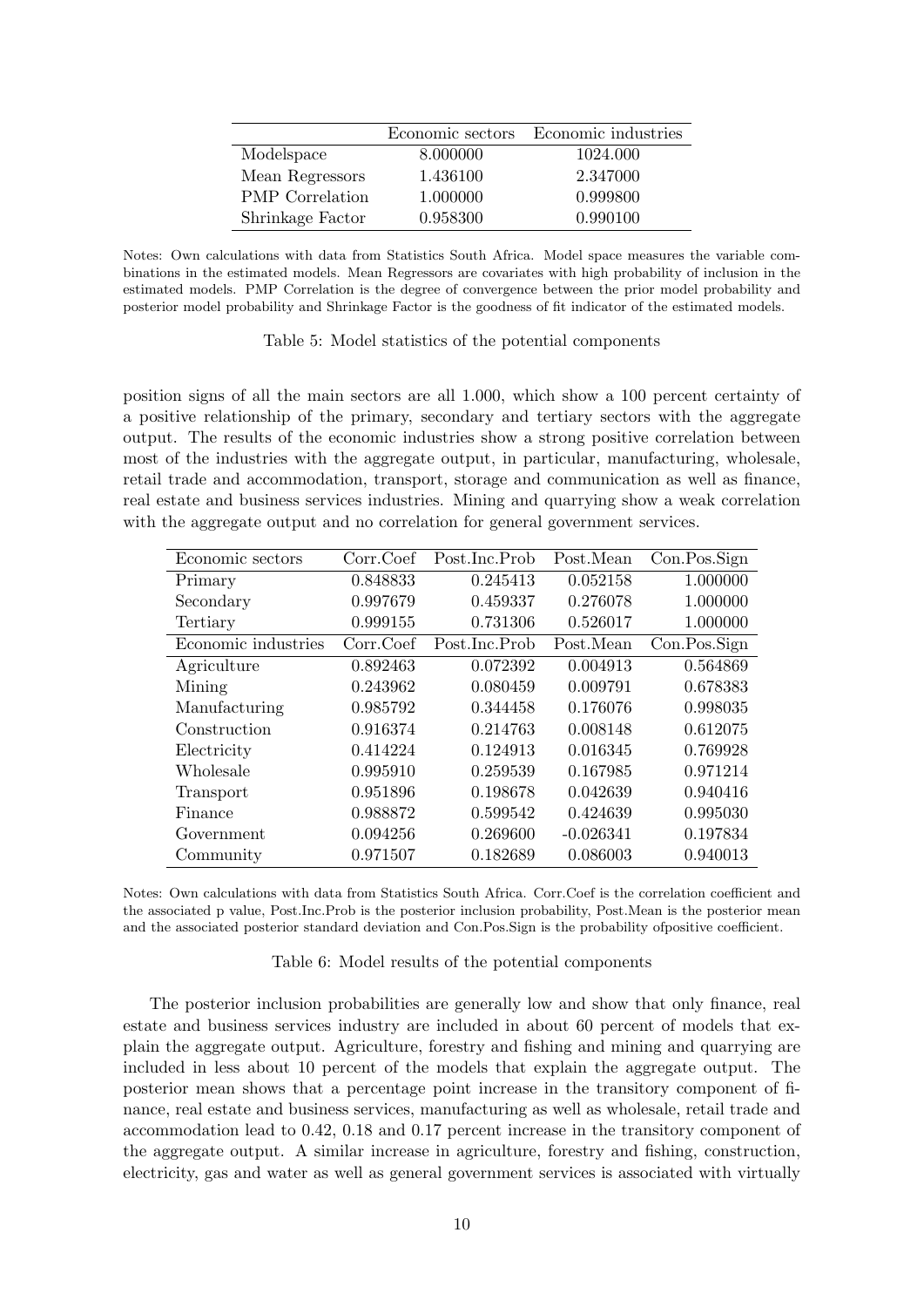|                        |          | Economic sectors Economic industries |
|------------------------|----------|--------------------------------------|
| Modelspace             | 8.000000 | 1024.000                             |
| Mean Regressors        | 1.436100 | 2.347000                             |
| <b>PMP</b> Correlation | 1.000000 | 0.999800                             |
| Shrinkage Factor       | 0.958300 | 0.990100                             |

Notes: Own calculations with data from Statistics South Africa. Model space measures the variable combinations in the estimated models. Mean Regressors are covariates with high probability of inclusion in the estimated models. PMP Correlation is the degree of convergence between the prior model probability and posterior model probability and Shrinkage Factor is the goodness of fit indicator of the estimated models.

#### Table 5: Model statistics of the potential components

position signs of all the main sectors are all 1.000, which show a 100 percent certainty of a positive relationship of the primary, secondary and tertiary sectors with the aggregate output. The results of the economic industries show a strong positive correlation between most of the industries with the aggregate output, in particular, manufacturing, wholesale, retail trade and accommodation, transport, storage and communication as well as finance, real estate and business services industries. Mining and quarrying show a weak correlation with the aggregate output and no correlation for general government services.

| Economic sectors    | Corr.Coef | Post.Inc.Prob | Post.Mean   | Con.Pos.Sign |
|---------------------|-----------|---------------|-------------|--------------|
| Primary             | 0.848833  | 0.245413      | 0.052158    | 1.000000     |
| Secondary           | 0.997679  | 0.459337      | 0.276078    | 1.000000     |
| Tertiary            | 0.999155  | 0.731306      | 0.526017    | 1.000000     |
| Economic industries | Corr.Coef | Post.Inc.Prob | Post.Mean   | Con.Pos.Sign |
| Agriculture         | 0.892463  | 0.072392      | 0.004913    | 0.564869     |
| Mining              | 0.243962  | 0.080459      | 0.009791    | 0.678383     |
| Manufacturing       | 0.985792  | 0.344458      | 0.176076    | 0.998035     |
| Construction        | 0.916374  | 0.214763      | 0.008148    | 0.612075     |
| Electricity         | 0.414224  | 0.124913      | 0.016345    | 0.769928     |
| Wholesale           | 0.995910  | 0.259539      | 0.167985    | 0.971214     |
| Transport           | 0.951896  | 0.198678      | 0.042639    | 0.940416     |
| Finance             | 0.988872  | 0.599542      | 0.424639    | 0.995030     |
| Government          | 0.094256  | 0.269600      | $-0.026341$ | 0.197834     |
| Community           | 0.971507  | 0.182689      | 0.086003    | 0.940013     |

Notes: Own calculations with data from Statistics South Africa. Corr.Coef is the correlation coefficient and the associated p value, Post.Inc.Prob is the posterior inclusion probability, Post.Mean is the posterior mean and the associated posterior standard deviation and Con.Pos.Sign is the probability ofpositive coefficient.

Table 6: Model results of the potential components

The posterior inclusion probabilities are generally low and show that only finance, real estate and business services industry are included in about 60 percent of models that explain the aggregate output. Agriculture, forestry and fishing and mining and quarrying are included in less about 10 percent of the models that explain the aggregate output. The posterior mean shows that a percentage point increase in the transitory component of finance, real estate and business services, manufacturing as well as wholesale, retail trade and accommodation lead to 0.42, 0.18 and 0.17 percent increase in the transitory component of the aggregate output. A similar increase in agriculture, forestry and fishing, construction, electricity, gas and water as well as general government services is associated with virtually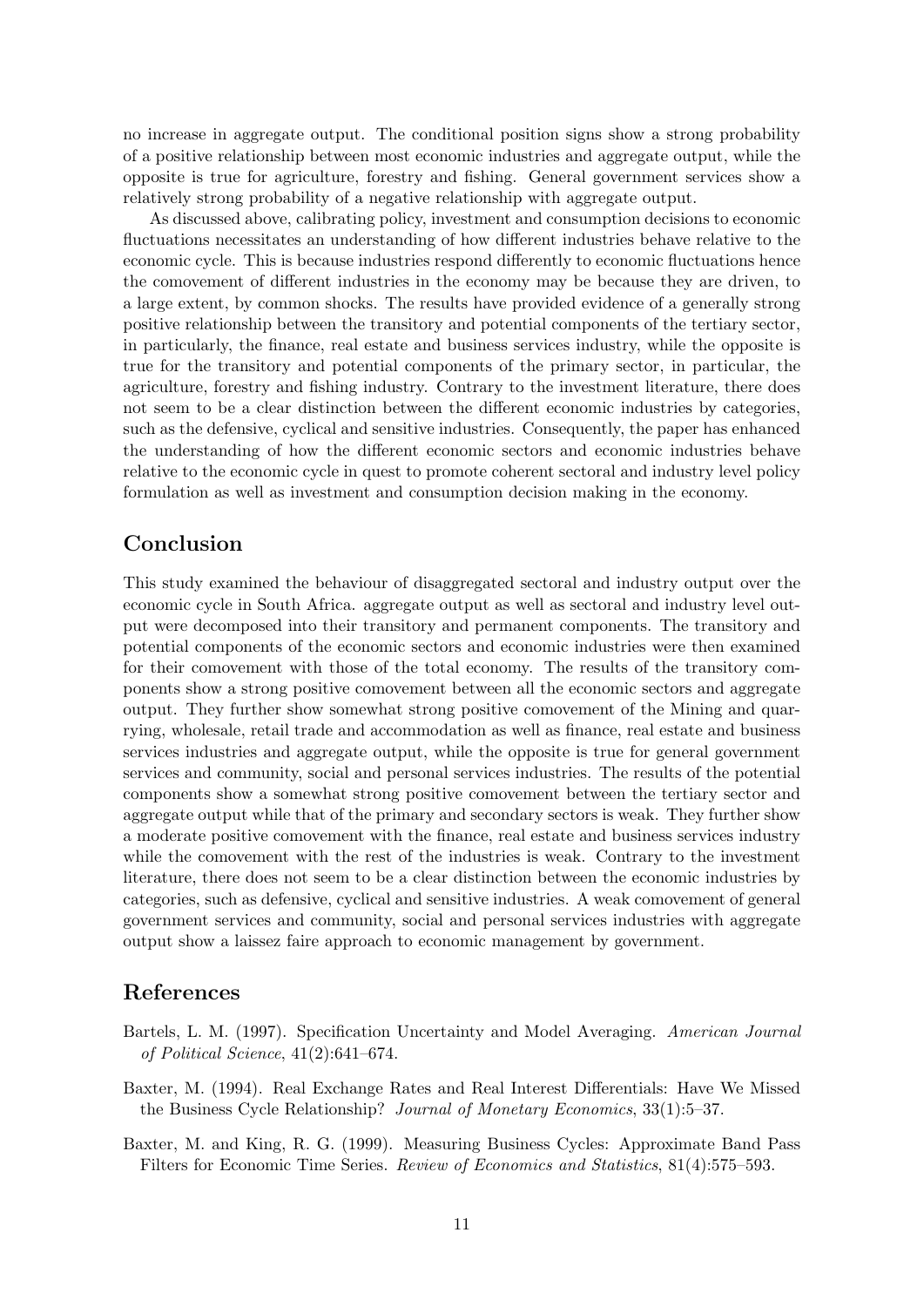no increase in aggregate output. The conditional position signs show a strong probability of a positive relationship between most economic industries and aggregate output, while the opposite is true for agriculture, forestry and fishing. General government services show a relatively strong probability of a negative relationship with aggregate output.

As discussed above, calibrating policy, investment and consumption decisions to economic fluctuations necessitates an understanding of how different industries behave relative to the economic cycle. This is because industries respond differently to economic fluctuations hence the comovement of different industries in the economy may be because they are driven, to a large extent, by common shocks. The results have provided evidence of a generally strong positive relationship between the transitory and potential components of the tertiary sector, in particularly, the finance, real estate and business services industry, while the opposite is true for the transitory and potential components of the primary sector, in particular, the agriculture, forestry and fishing industry. Contrary to the investment literature, there does not seem to be a clear distinction between the different economic industries by categories, such as the defensive, cyclical and sensitive industries. Consequently, the paper has enhanced the understanding of how the different economic sectors and economic industries behave relative to the economic cycle in quest to promote coherent sectoral and industry level policy formulation as well as investment and consumption decision making in the economy.

### Conclusion

This study examined the behaviour of disaggregated sectoral and industry output over the economic cycle in South Africa. aggregate output as well as sectoral and industry level output were decomposed into their transitory and permanent components. The transitory and potential components of the economic sectors and economic industries were then examined for their comovement with those of the total economy. The results of the transitory components show a strong positive comovement between all the economic sectors and aggregate output. They further show somewhat strong positive comovement of the Mining and quarrying, wholesale, retail trade and accommodation as well as finance, real estate and business services industries and aggregate output, while the opposite is true for general government services and community, social and personal services industries. The results of the potential components show a somewhat strong positive comovement between the tertiary sector and aggregate output while that of the primary and secondary sectors is weak. They further show a moderate positive comovement with the finance, real estate and business services industry while the comovement with the rest of the industries is weak. Contrary to the investment literature, there does not seem to be a clear distinction between the economic industries by categories, such as defensive, cyclical and sensitive industries. A weak comovement of general government services and community, social and personal services industries with aggregate output show a laissez faire approach to economic management by government.

### References

- Bartels, L. M. (1997). Specification Uncertainty and Model Averaging. American Journal of Political Science, 41(2):641–674.
- Baxter, M. (1994). Real Exchange Rates and Real Interest Differentials: Have We Missed the Business Cycle Relationship? Journal of Monetary Economics, 33(1):5–37.
- Baxter, M. and King, R. G. (1999). Measuring Business Cycles: Approximate Band Pass Filters for Economic Time Series. Review of Economics and Statistics, 81(4):575–593.